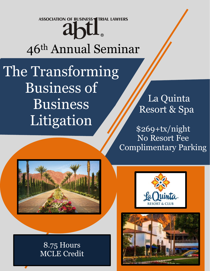**ASSOCIATION OF BUSINESS TRIAL LAWYERS** 

# abtl 46th Annual Seminar

The Transforming Business of Business Litigation

 La Quinta Resort & Spa

\$269+tx/night No Resort Fee Complimentary Parking



8.75 Hours MCLE Credit



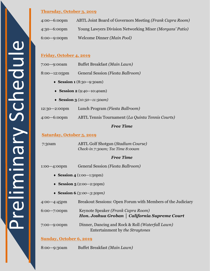#### **Thursday, October 3, 2019**

| 4:00-6:00pm             | ABTL Joint Board of Governors Meeting ( <i>Frank Capra Room</i> ) |
|-------------------------|-------------------------------------------------------------------|
| 4:30-6:00pm             | Young Lawyers Division Networking Mixer (Morgans' Patio)          |
| $6:00 - 9:00 \text{pm}$ | Welcome Dinner (Main Pool)                                        |

#### **Friday, October 4, 2019**

| $7:00 - 9:00$ am  | Buffet Breakfast (Main Lawn)      |  |  |
|-------------------|-----------------------------------|--|--|
| $8:00 - 12:05$ pm | General Session (Fiesta Ballroom) |  |  |

- **Session 1** (8:30—9:30am)
- **Session 2** (9:40—10:40am)
- **Session 3** *(10:50—11:50am)*

12:30—2:00pm Lunch Program *(Fiesta Ballroom)*

4:00*—*6:00pm ABTL Tennis Tournament (*La Quinta Tennis Courts)*

#### *Free Time*

#### **Saturday, October 5, 2019**

7:30am ABTL Golf Shotgun (*Stadium Course) Check-in 7:30am; Tee Time 8:00am*

#### *Free Time*

1:00*—*4:00pm General Session *(Fiesta Ballroom)*

- **Session 4** (1:00—1:50pm)
- **Session 5** (2:00—2:50pm)
- **Session 6** *(3:00—3:50pm)*

4:00*—*4:45pm Breakout Sessions: Open Forum with Members of the Judiciary

| $6:00 - 7:00 \text{pm}$ | Keynote Speaker (Frank Capra Room) |                                               |  |
|-------------------------|------------------------------------|-----------------------------------------------|--|
|                         |                                    | Hon. Joshua Groban   California Supreme Court |  |

7:00*—*9:00pm Dinner, Dancing and Rock & Roll *(Waterfall Lawn)* Entertainment by *the Straytones*

#### **Sunday, October 6, 2019**

8:00*—*9:30am Buffet Breakfast *(Main Lawn)*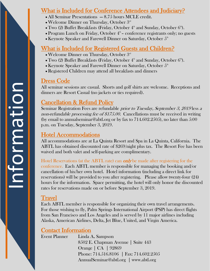## What is Included for Conference Attendees and Judiciary?

- All Seminar Presentations 8.75 hours MCLE credit.
- Welcome Dinner on Thursday, October  $3<sup>rd</sup>$
- Two (2) Buffet Breakfasts (Friday, October  $4^{\text{th}}$  and Sunday, October  $6^{\text{th}}$ ).
- Program Lunch on Friday, October  $4<sup>th</sup>$  conference registrants only; no guests
- Keynote Speaker and Farewell Dinner on Saturday, October  $5<sup>th</sup>$

## What is Included for Registered Guests and Children?

- Welcome Dinner on Thursday, October 3rd
- Two (2) Buffet Breakfasts (Friday, October  $4^{\text{th}}$  and Sunday, October  $6^{\text{th}}$ ).
- Keynote Speaker and Farewell Dinner on Saturday, October  $5<sup>th</sup>$
- Registered Children may attend all breakfasts and dinners

## Dress Code

All seminar sessions are casual. Shorts and golf shirts are welcome. Receptions and dinners are Resort Casual (no jackets or ties required).

## Cancellation & Refund Policy

Seminar Registration Fees are refundable prior to Tuesday, September 3, 2019 less a non-refundable processing fee of \$175.00. Cancellations must be received in writing (by email to annualseminar@abtl.org or by fax to 714.602.2505), no later than 5:00 p.m. on Tuesday, September 3, 201 9 .

## Hotel Accommodations

All accommodations are at La Quinta Resort and Spa in La Quinta, California. The ABTL has obtained discounted rate of \$269/night plus tax. The Resort Fee has been waived and both valet and self-parking are complimentary.

Hotel Reservations (at the ABTL rate) can **only** be made after registering for the conference. Each ABTL member is responsible for managing the booking and/or cancellation of his/her own hotel. Hotel information (including a direct link for reservations) will be provided to you after registering. Please allow twenty-four (24) hours for the information. Space permitting, the hotel will only honor the discounted rates for reservations made on or before September 3, 201 9 .

## Travel

Each ABTL member is responsible for organizing their own travel arrangements. For those wishing to fly, Palm Springs International Airport (PSP) has direct flights from San Francisco and Los Angeles and is served by 11 major airlines including Alaska, American Airlines, Delta, Jet Blue, United, and Virgin America.

## Contact Information

Event Planner Linda A. Sampson 8502 E. Chapman Avenue | Suite 443 Orange │ CA │ 92869 Phone: 714.516.8106 │ Fax: 714.602.2505 AnnualSeminar@abtl.org │ www.abtl.org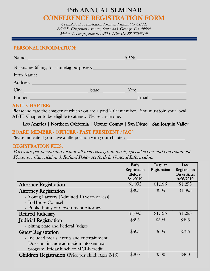## 46th ANNUAL SEMINAR CONFERENCE REGISTRATION FORM

Complete the registration form and submit to ABTL 8502 E. Chapman Avenue, Suite 443, Orange, CA 92869 Make checks payable to ABTL (Tax ID: 33-0795815)

#### PERSONAL INFORMATION:

| Name: Name and the second contract of the second contract of the second contract of the second contract of the second contract of the second contract of the second contract of the second contract of the second contract of | SBN:               |
|-------------------------------------------------------------------------------------------------------------------------------------------------------------------------------------------------------------------------------|--------------------|
|                                                                                                                                                                                                                               |                    |
| Firm Name: Name and South Art and South Art and South Art and South Art and South Art and South Art and South Art and South Art and South Art and South Art and South Art and Art and Art and Art and Art and Art and Art and |                    |
|                                                                                                                                                                                                                               |                    |
| City:                                                                                                                                                                                                                         | State: <u>Tip:</u> |
| Phone:                                                                                                                                                                                                                        | Email:             |

#### ABTL CHAPTER:

Please indicate the chapter of which you are a paid 2019 member. You must join your local ABTL Chapter to be eligible to attend. Please circle one:

### Los Angeles **│** Northern California **│** Orange County **│** San Diego **│** San Joaquin Valley

#### BOARD MEMBER / OFFICER / PAST PRESIDENT / JAC?

Please indicate if you have a title position with your chapter:

#### REGISTRATION FEES:

Prices are per person and include all materials, group meals, special events and entertainment. Please see Cancellation & Refund Policy set forth in General Information.

|                                                           | Early         | Regular      | Late         |
|-----------------------------------------------------------|---------------|--------------|--------------|
|                                                           | Registration  | Registration | Registration |
|                                                           | <b>Before</b> |              | On or After  |
|                                                           | 8/1/2019      |              | 9/26/2019    |
| <b>Attorney Registration</b>                              | \$1,095       | \$1,195      | \$1,295      |
| <b>Attorney Registration</b>                              | \$895         | \$995        | \$1,095      |
| - Young Lawyers (Admitted 10 years or less)               |               |              |              |
| - In-House Counsel                                        |               |              |              |
| - Public Entity or Government Attorney                    |               |              |              |
| <b>Retired Judiciary</b>                                  | \$1,095       | \$1,195      | \$1,295      |
| <b>Judicial Registration</b>                              | \$595         | \$595        | \$595        |
| - Sitting State and Federal Judges                        |               |              |              |
| <b>Guest Registration</b>                                 | \$595         | \$695        | \$795        |
| - Included meals, events and entertainment                |               |              |              |
| - Does not include admission into seminar                 |               |              |              |
| program, Friday lunch or MCLE credit                      |               |              |              |
| <b>Children Registration</b> (Price per child; Ages 3-15) | \$200         | \$300        | \$400        |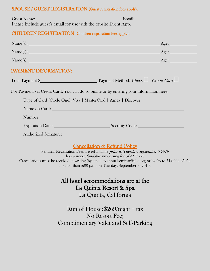#### SPOUSE / GUEST REGISTRATION (Guest registration fees apply):

| Ema: Euest Name: Lease include guest's email for use with the on-site Event App. |                                                                                                                                                                                                                                |
|----------------------------------------------------------------------------------|--------------------------------------------------------------------------------------------------------------------------------------------------------------------------------------------------------------------------------|
| <b>CHILDREN REGISTRATION</b> (Children registration fees apply):                 |                                                                                                                                                                                                                                |
|                                                                                  | Name(s): <u>Age:</u>                                                                                                                                                                                                           |
|                                                                                  | Name(s): <u>Name(s): Age:</u>                                                                                                                                                                                                  |
|                                                                                  |                                                                                                                                                                                                                                |
| PAYMENT INFORMATION:                                                             |                                                                                                                                                                                                                                |
|                                                                                  | Total Payment \$ $\qquad \qquad \qquad \qquad \qquad \qquad \qquad \qquad \text{Payment Method: Check} \qquad \qquad Credit Card \Box$                                                                                         |
|                                                                                  | For Payment via Credit Card: You can do so online or by entering your information here:                                                                                                                                        |
|                                                                                  | Type of Card (Circle One): Visa   MasterCard   Amex   Discover                                                                                                                                                                 |
|                                                                                  | Name on Card: Name on Card Card Contract Contract Contract Contract Contract Contract Contract Contract Contract Contract Contract Contract Contract Contract Contract Contract Contract Contract Contract Contract Contract C |
|                                                                                  | Number: Number: Number: Number: Number: Number: Number: Number: Number: Number: Number: Number: Number: Number: Number: Number: Number: Number: Number: Number: Number: Number: Number: Number: Number: Number: Number: Number |
|                                                                                  | Expiration Date: Security Code:                                                                                                                                                                                                |
|                                                                                  | Authorized Signature: New York Changes and School and School and School and School and School and School and School and School and School and School and School and School and School and School and School and School and Sch |
|                                                                                  | <b>Cancellation &amp; Refund Policy</b>                                                                                                                                                                                        |
|                                                                                  | Seminar Registration Fees are refundable <i>prior to Tuesday, September 3 2019</i><br>less a non-refundable processing fee of \$175.00.                                                                                        |
|                                                                                  | Cancellations must be received in writing (by email to annualseminar@abtl.org or by fax to 714.602.2505),                                                                                                                      |

no later than 5:00 p.m. on Tuesday, September 3, 2019.

## All hotel accommodations are at the La Quinta Resort & Spa La Quinta, California

## Run of House: \$269/night + tax No Resort Fee; Complimentary Valet and Self-Parking